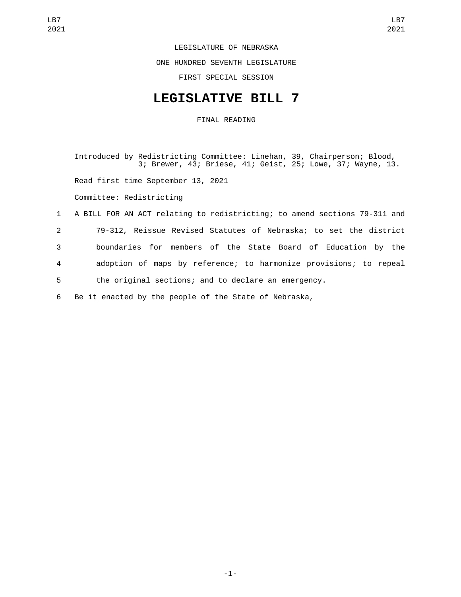LEGISLATURE OF NEBRASKA ONE HUNDRED SEVENTH LEGISLATURE FIRST SPECIAL SESSION

#### **LEGISLATIVE BILL 7**

FINAL READING

Introduced by Redistricting Committee: Linehan, 39, Chairperson; Blood, 3; Brewer, 43; Briese, 41; Geist, 25; Lowe, 37; Wayne, 13. Read first time September 13, 2021 Committee: Redistricting 1 A BILL FOR AN ACT relating to redistricting; to amend sections 79-311 and 2 79-312, Reissue Revised Statutes of Nebraska; to set the district 3 boundaries for members of the State Board of Education by the 4 adoption of maps by reference; to harmonize provisions; to repeal 5 the original sections; and to declare an emergency.

6 Be it enacted by the people of the State of Nebraska,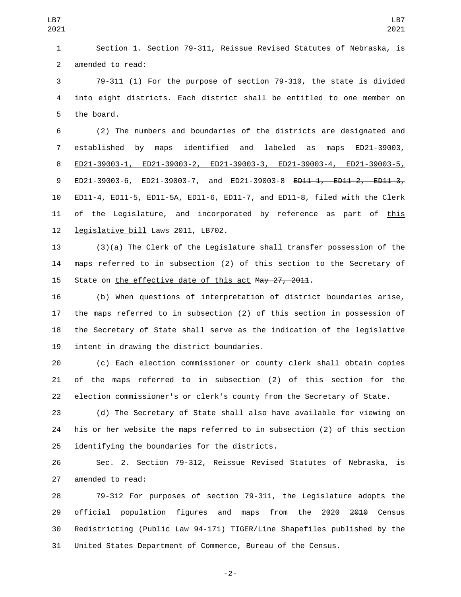Section 1. Section 79-311, Reissue Revised Statutes of Nebraska, is 2 amended to read:

 79-311 (1) For the purpose of section 79-310, the state is divided into eight districts. Each district shall be entitled to one member on 5 the board.

 (2) The numbers and boundaries of the districts are designated and established by maps identified and labeled as maps ED21-39003, ED21-39003-1, ED21-39003-2, ED21-39003-3, ED21-39003-4, ED21-39003-5, 9 ED21-39003-6, ED21-39003-7, and ED21-39003-8 <del>ED11-1, ED11-2, ED11-3,</del> ED11-4, ED11-5, ED11-5A, ED11-6, ED11-7, and ED11-8, filed with the Clerk 11 of the Legislature, and incorporated by reference as part of this 12 legislative bill Laws 2011, LB702.

 (3)(a) The Clerk of the Legislature shall transfer possession of the maps referred to in subsection (2) of this section to the Secretary of 15 State on the effective date of this act May 27, 2011.

 (b) When questions of interpretation of district boundaries arise, the maps referred to in subsection (2) of this section in possession of the Secretary of State shall serve as the indication of the legislative 19 intent in drawing the district boundaries.

 (c) Each election commissioner or county clerk shall obtain copies of the maps referred to in subsection (2) of this section for the election commissioner's or clerk's county from the Secretary of State.

 (d) The Secretary of State shall also have available for viewing on his or her website the maps referred to in subsection (2) of this section 25 identifying the boundaries for the districts.

 Sec. 2. Section 79-312, Reissue Revised Statutes of Nebraska, is 27 amended to read:

 79-312 For purposes of section 79-311, the Legislature adopts the 29 official population figures and maps from the 2020 <del>2010</del> Census Redistricting (Public Law 94-171) TIGER/Line Shapefiles published by the United States Department of Commerce, Bureau of the Census.

-2-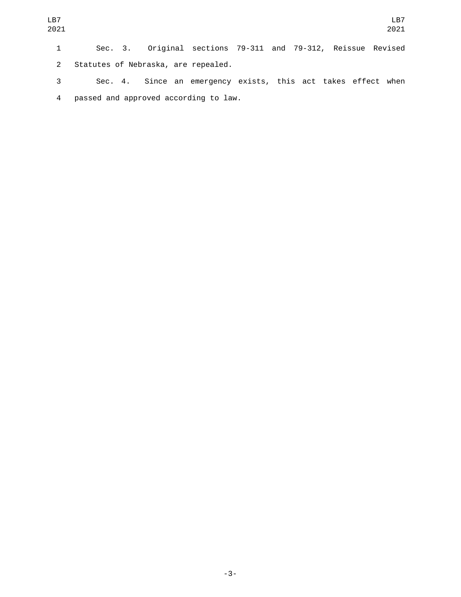2 Statutes of Nebraska, are repealed.

3 Sec. 4. Since an emergency exists, this act takes effect when passed and approved according to law.4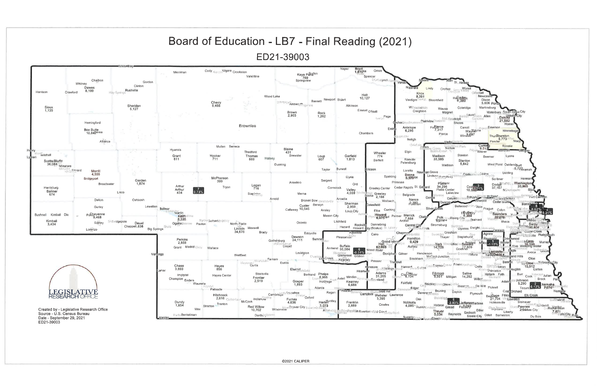

ED21-39003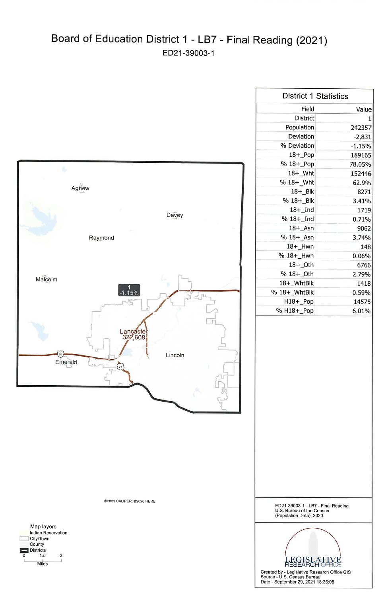## Board of Education District 1 - LB7 - Final Reading (2021) ED21-39003-1





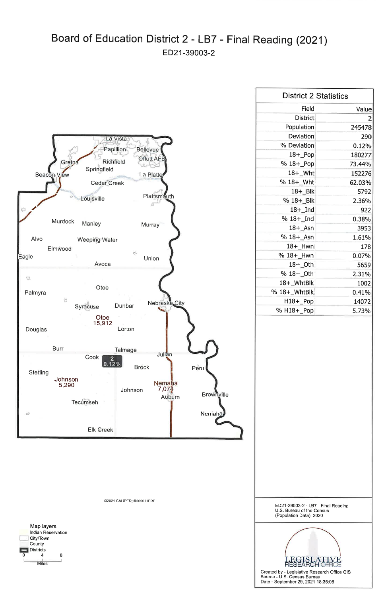### Board of Education District 2 - LB7 - Final Reading (2021) ED21-39003-2





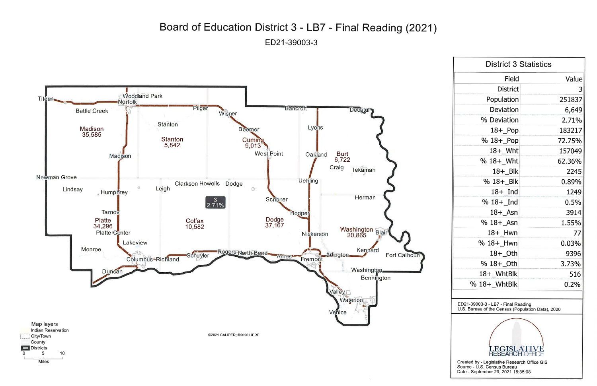## Board of Education District 3 - LB7 - Final Reading (2021) ED21-39003-3



**Miles** 

 $\Omega$ 

| <b>District 3 Statistics</b> |        |
|------------------------------|--------|
| <b>Field</b>                 | Value  |
| <b>District</b>              | 3      |
| Population                   | 251837 |
| <b>Deviation</b>             | 6,649  |
| % Deviation                  | 2.71%  |
| $18 +$ Pop                   | 183217 |
| % 18+_Pop                    | 72.75% |
| $18 +$ Wht                   | 157049 |
| % 18+_Wht                    | 62.36% |
| $18 + B$ lk                  | 2245   |
| % 18+_Blk                    | 0.89%  |
| $18 +$ Ind                   | 1249   |
| % $18 +$ Ind                 | 0.5%   |
| $18+$ Asn                    | 3914   |
| $%18 +$ Asn                  | 1.55%  |
| 18+ Hwn                      | 77     |
| $%18+$ Hwn                   | 0.03%  |
| $18 +$ <sup>-</sup> Oth      | 9396   |
| % 18+_Oth                    | 3.73%  |
| 18+_WhtBlk                   | 516    |
| % 18+_WhtBlk                 | 0.2%   |

ED21-39003-3 - LB7 - Final Reading<br>U.S. Bureau of the Census (Population Data), 2020



Created by - Legislative Research Office GIS<br>Source - U.S. Census Bureau Date - September 29, 2021 18:35:08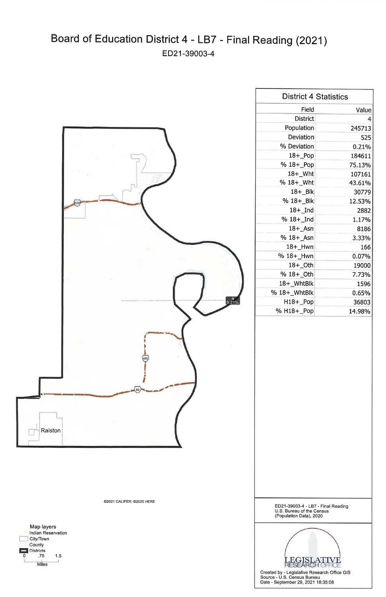# Board of Education District 4 - LB7 - Final Reading (2021) ED21-39003-4



| <b>District 4 Statistics</b> |        |
|------------------------------|--------|
| Field                        | Value  |
| <b>District</b>              | 4      |
| Population                   | 245713 |
| Deviation                    | 525    |
| % Deviation                  | 0.21%  |
| $18 +$ Pop                   | 184611 |
| % 18+_Pop                    | 75.13% |
| 18+ Wht                      | 107161 |
| % 18+_Wht                    | 43.61% |
| $18 + B$                     | 30779  |
| % 18+ Blk                    | 12.53% |
| $18+$ Ind                    | 2882   |
| % 18+_Ind                    | 1.17%  |
| $18+$ Asn                    | 8186   |
| % 18+ Asn                    | 3.33%  |
| $18 +$ _Hwn                  | 166    |
| % 18+_Hwn                    | 0.07%  |
| $18 +$ Oth                   | 19000  |
| % 18+_Oth                    | 7.73%  |
| 18+_WhtBlk                   | 1596   |
| $%18+$ WhtBlk                | 0.65%  |
| H18+_Pop                     | 36803  |
| % H18+ Pop                   | 14.98% |



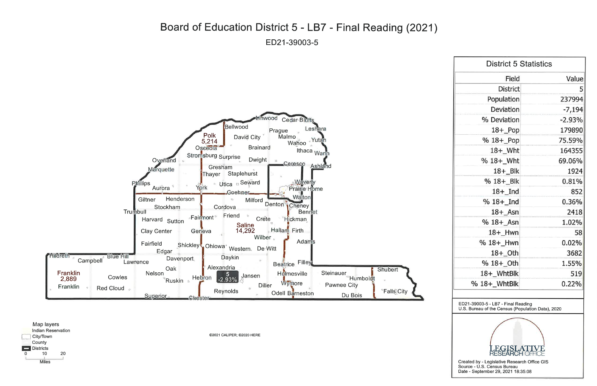#### Board of Education District 5 - LB7 - Final Reading (2021) ED21-39003-5





©2021 CALIPER; ©2020 HERE

| <b>District 5 Statistics</b> |          |  |
|------------------------------|----------|--|
| Field                        | Value    |  |
| <b>District</b>              | 5        |  |
| Population                   | 237994   |  |
| Deviation                    | $-7,194$ |  |
| % Deviation                  | $-2.93%$ |  |
| $18 +$ Pop                   | 179890   |  |
| % 18+_Pop                    | 75.59%   |  |
| $18 +$ Wht                   | 164355   |  |
| % 18+_Wht                    | 69.06%   |  |
| $18 + B$ lk                  | 1924     |  |
| % 18+_Blk                    | 0.81%    |  |
| $18 +$ Ind                   | 852      |  |
| $%18+$ Ind                   | 0.36%    |  |
| 18+ Asn                      | 2418     |  |
| % 18+_Asn                    | 1.02%    |  |
| 18+_Hwn                      | 58       |  |
| % 18+_Hwn                    | 0.02%    |  |
| 18+_Oth                      | 3682     |  |
| % 18+_Oth                    | 1.55%    |  |
| 18+_WhtBlk                   | 519      |  |
| % 18+_WhtBlk                 | 0.22%    |  |

ED21-39003-5 - LB7 - Final Reading<br>U.S. Bureau of the Census (Population Data), 2020



Created by - Legislative Research Office GIS Source - U.S. Census Bureau Date - September 29, 2021 18:35:08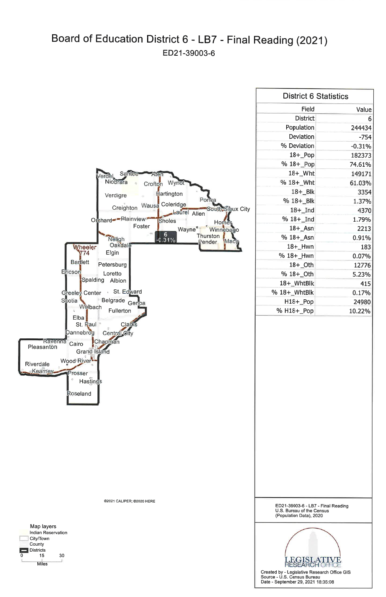## Board of Education District 6 - LB7 - Final Reading (2021) ED21-39003-6



| <b>District 6 Statistics</b> |          |
|------------------------------|----------|
| Field                        | Value    |
| <b>District</b>              | 6        |
| Population                   | 244434   |
| Deviation                    | $-754$   |
| % Deviation                  | $-0.31%$ |
| $18 +$ $Pop$                 | 182373   |
| % 18+ Pop                    | 74.61%   |
| 18+_Wht                      | 149171   |
| % 18+_Wht                    | 61.03%   |
| 18+ Blk                      | 3354     |
| % 18+ Blk                    | 1.37%    |
| $18+$ Ind                    | 4370     |
| $%18 + Ind$                  | 1.79%    |
| $18 +$ Asn                   | 2213     |
| % 18+ Asn                    | 0.91%    |
| 18+ Hwn                      | 183      |
| % 18+_Hwn                    | 0.07%    |
| 18+ Oth                      | 12776    |
| % 18+ Oth                    | 5.23%    |
| 18+ WhtBlk                   | 415      |
| % 18+_WhtBlk                 | 0.17%    |
| H18+_Pop                     | 24980    |
| % H18+ Pop                   | 10.22%   |



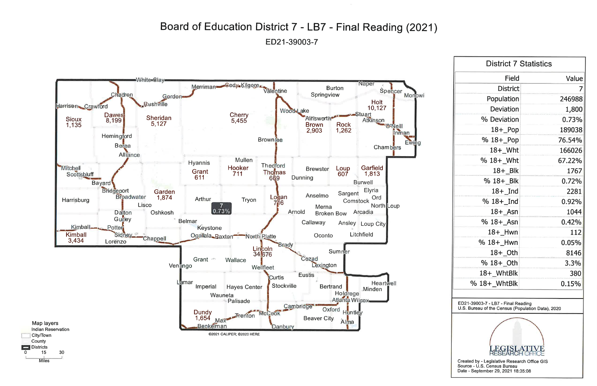#### Board of Education District 7 - LB7 - Final Reading (2021) ED21-39003-7



 $\Omega$ 

| Field<br><b>District</b><br>Population<br>Deviation<br>% Deviation<br>$18 +$ Pop<br>% 18+_Pop<br>$18 +$ Wht<br>$% 18 + W$ ht<br>67.22%<br>$18 + B$ lk<br>1767<br>% 18+ Blk<br>0.72%<br>$18 +$ Ind<br>2281<br>% $18 +$ Ind<br>0.92%<br>$18 +$ Asn<br>1044<br>$%18 + _{4}$ Sn<br>0.42%<br>112<br>18+ Hwn<br>% 18+_Hwn<br>0.05%<br>8146<br>$18 +$ <sup>Oth</sup><br>% 18+_0th<br>3.3%<br>18+_WhtBlk<br>380<br>0.15%<br>% 18+_WhtBlk | <b>District 7 Statistics</b> |        |  |
|----------------------------------------------------------------------------------------------------------------------------------------------------------------------------------------------------------------------------------------------------------------------------------------------------------------------------------------------------------------------------------------------------------------------------------|------------------------------|--------|--|
|                                                                                                                                                                                                                                                                                                                                                                                                                                  |                              | Value  |  |
|                                                                                                                                                                                                                                                                                                                                                                                                                                  |                              | 7      |  |
|                                                                                                                                                                                                                                                                                                                                                                                                                                  |                              | 246988 |  |
|                                                                                                                                                                                                                                                                                                                                                                                                                                  |                              | 1,800  |  |
|                                                                                                                                                                                                                                                                                                                                                                                                                                  |                              | 0.73%  |  |
|                                                                                                                                                                                                                                                                                                                                                                                                                                  |                              | 189038 |  |
|                                                                                                                                                                                                                                                                                                                                                                                                                                  |                              | 76.54% |  |
|                                                                                                                                                                                                                                                                                                                                                                                                                                  |                              | 166026 |  |
|                                                                                                                                                                                                                                                                                                                                                                                                                                  |                              |        |  |
|                                                                                                                                                                                                                                                                                                                                                                                                                                  |                              |        |  |
|                                                                                                                                                                                                                                                                                                                                                                                                                                  |                              |        |  |
|                                                                                                                                                                                                                                                                                                                                                                                                                                  |                              |        |  |
|                                                                                                                                                                                                                                                                                                                                                                                                                                  |                              |        |  |
|                                                                                                                                                                                                                                                                                                                                                                                                                                  |                              |        |  |
|                                                                                                                                                                                                                                                                                                                                                                                                                                  |                              |        |  |
|                                                                                                                                                                                                                                                                                                                                                                                                                                  |                              |        |  |
|                                                                                                                                                                                                                                                                                                                                                                                                                                  |                              |        |  |
|                                                                                                                                                                                                                                                                                                                                                                                                                                  |                              |        |  |
|                                                                                                                                                                                                                                                                                                                                                                                                                                  |                              |        |  |
|                                                                                                                                                                                                                                                                                                                                                                                                                                  |                              |        |  |
|                                                                                                                                                                                                                                                                                                                                                                                                                                  |                              |        |  |

ED21-39003-7 - LB7 - Final Reading U.S. Bureau of the Census (Population Data), 2020



Created by - Legislative Research Office GIS Source - U.S. Census Bureau Date - September 29, 2021 18:35:08